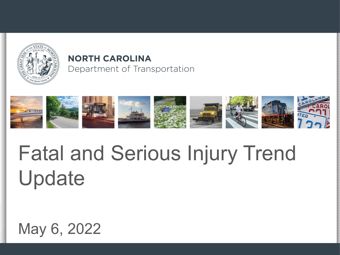

### **NORTH CAROLINA** Department of Transportation



# Fatal and Serious Injury Trend Update

# May 6, 2022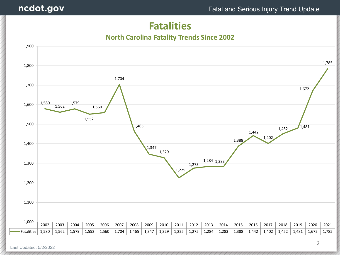### **Fatalities**

#### **North Carolina Fatality Trends Since 2002**

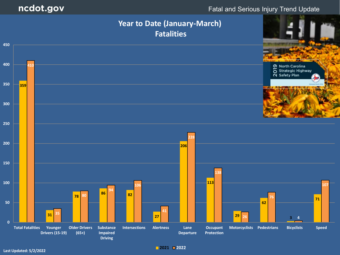#### Fatal and Serious Injury Trend Update



**<sup>2021</sup> <sup>2022</sup> Last Updated: 5/2/2022**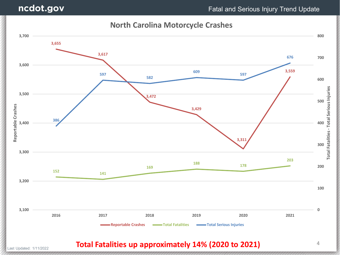### ncdot.gov

#### Fatal and Serious Injury Trend Update

4

#### **North Carolina Motorcycle Crashes**



Last Updated: 1/11/2022 **Total Fatalities up approximately 14% (2020 to 2021)**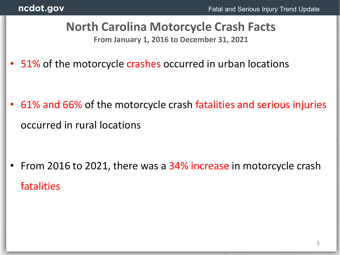# **North Carolina Motorcycle Crash Facts**

**From January 1, 2016 to December 31, 2021**

• 51% of the motorcycle crashes occurred in urban locations

• 61% and 66% of the motorcycle crash fatalities and serious injuries occurred in rural locations

From 2016 to 2021, there was a 34% increase in motorcycle crash fatalities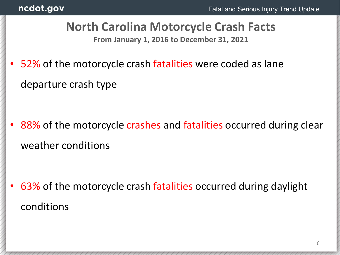# **North Carolina Motorcycle Crash Facts**

**From January 1, 2016 to December 31, 2021**

52% of the motorcycle crash fatalities were coded as lane departure crash type

88% of the motorcycle crashes and fatalities occurred during clear weather conditions

• 63% of the motorcycle crash fatalities occurred during daylight conditions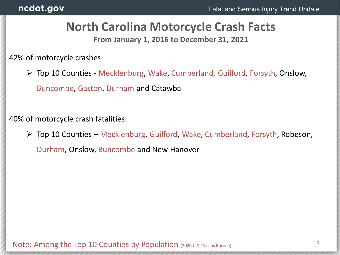## **North Carolina Motorcycle Crash Facts**

**From January 1, 2016 to December 31, 2021**

42% of motorcycle crashes

 Top 10 Counties - Mecklenburg, Wake, Cumberland, Guilford, Forsyth, Onslow, Buncombe, Gaston, Durham and Catawba

40% of motorcycle crash fatalities

 $\triangleright$  Top 10 Counties – Mecklenburg, Guilford, Wake, Cumberland, Forsyth, Robeson,

Durham, Onslow, Buncombe and New Hanover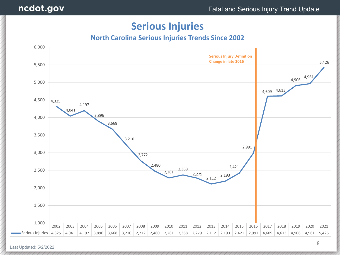### **Serious Injuries**

#### **North Carolina Serious Injuries Trends Since 2002**